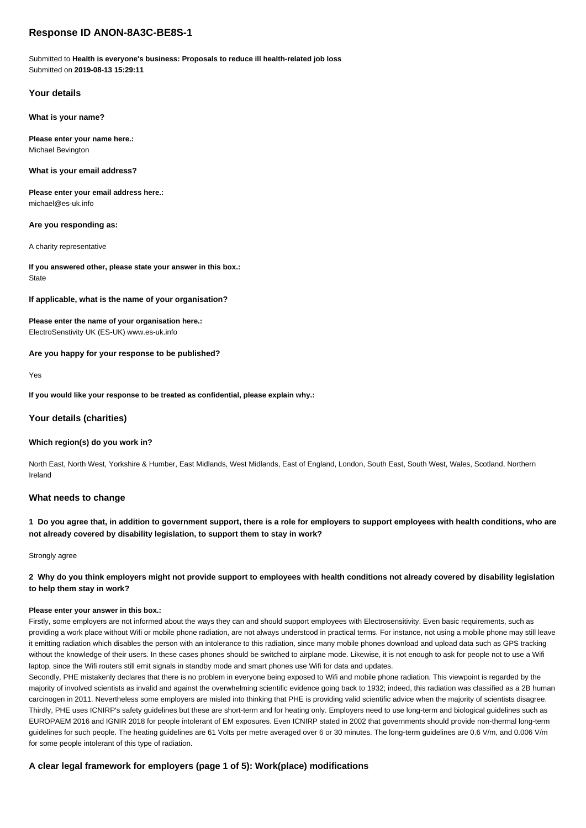# **Response ID ANON-8A3C-BE8S-1**

Submitted to **Health is everyone's business: Proposals to reduce ill health-related job loss** Submitted on **2019-08-13 15:29:11**

# **Your details**

**What is your name?**

**Please enter your name here.:** Michael Bevington

**What is your email address?**

**Please enter your email address here.:** michael@es-uk.info

#### **Are you responding as:**

A charity representative

**If you answered other, please state your answer in this box.: State** 

### **If applicable, what is the name of your organisation?**

# **Please enter the name of your organisation here.:**

ElectroSenstivity UK (ES-UK) www.es-uk.info

### **Are you happy for your response to be published?**

Yes

#### **If you would like your response to be treated as confidential, please explain why.:**

### **Your details (charities)**

### **Which region(s) do you work in?**

North East, North West, Yorkshire & Humber, East Midlands, West Midlands, East of England, London, South East, South West, Wales, Scotland, Northern Ireland

## **What needs to change**

**1 Do you agree that, in addition to government support, there is a role for employers to support employees with health conditions, who are not already covered by disability legislation, to support them to stay in work?**

Strongly agree

# **2 Why do you think employers might not provide support to employees with health conditions not already covered by disability legislation to help them stay in work?**

#### **Please enter your answer in this box.:**

Firstly, some employers are not informed about the ways they can and should support employees with Electrosensitivity. Even basic requirements, such as providing a work place without Wifi or mobile phone radiation, are not always understood in practical terms. For instance, not using a mobile phone may still leave it emitting radiation which disables the person with an intolerance to this radiation, since many mobile phones download and upload data such as GPS tracking without the knowledge of their users. In these cases phones should be switched to airplane mode. Likewise, it is not enough to ask for people not to use a Wifi laptop, since the Wifi routers still emit signals in standby mode and smart phones use Wifi for data and updates.

Secondly, PHE mistakenly declares that there is no problem in everyone being exposed to Wifi and mobile phone radiation. This viewpoint is regarded by the majority of involved scientists as invalid and against the overwhelming scientific evidence going back to 1932; indeed, this radiation was classified as a 2B human carcinogen in 2011. Nevertheless some employers are misled into thinking that PHE is providing valid scientific advice when the majority of scientists disagree. Thirdly, PHE uses ICNIRP's safety guidelines but these are short-term and for heating only. Employers need to use long-term and biological guidelines such as EUROPAEM 2016 and IGNIR 2018 for people intolerant of EM exposures. Even ICNIRP stated in 2002 that governments should provide non-thermal long-term guidelines for such people. The heating guidelines are 61 Volts per metre averaged over 6 or 30 minutes. The long-term guidelines are 0.6 V/m, and 0.006 V/m for some people intolerant of this type of radiation.

# **A clear legal framework for employers (page 1 of 5): Work(place) modifications**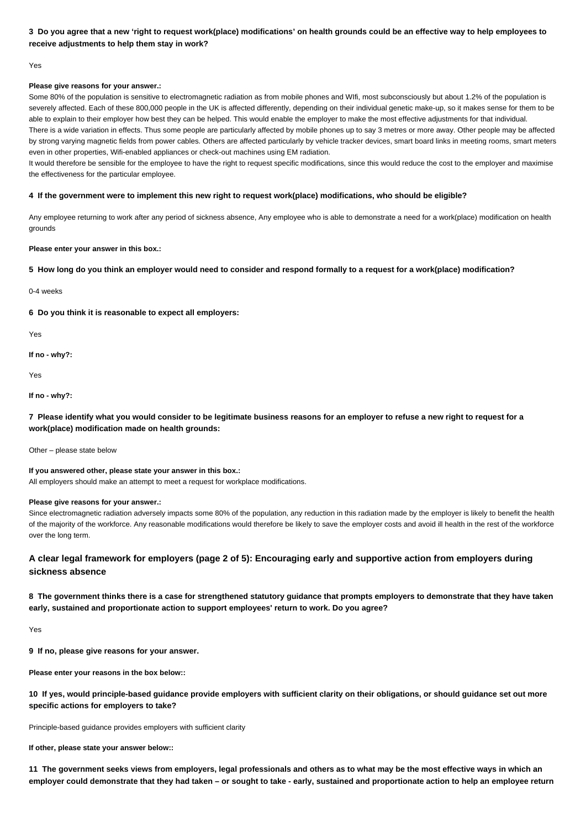# **3 Do you agree that a new 'right to request work(place) modifications' on health grounds could be an effective way to help employees to receive adjustments to help them stay in work?**

### Yes

# **Please give reasons for your answer.:**

Some 80% of the population is sensitive to electromagnetic radiation as from mobile phones and WIfi, most subconsciously but about 1.2% of the population is severely affected. Each of these 800,000 people in the UK is affected differently, depending on their individual genetic make-up, so it makes sense for them to be able to explain to their employer how best they can be helped. This would enable the employer to make the most effective adjustments for that individual. There is a wide variation in effects. Thus some people are particularly affected by mobile phones up to say 3 metres or more away. Other people may be affected by strong varying magnetic fields from power cables. Others are affected particularly by vehicle tracker devices, smart board links in meeting rooms, smart meters even in other properties, Wifi-enabled appliances or check-out machines using EM radiation.

It would therefore be sensible for the employee to have the right to request specific modifications, since this would reduce the cost to the employer and maximise the effectiveness for the particular employee.

### **4 If the government were to implement this new right to request work(place) modifications, who should be eligible?**

Any employee returning to work after any period of sickness absence, Any employee who is able to demonstrate a need for a work(place) modification on health grounds

### **Please enter your answer in this box.:**

## **5 How long do you think an employer would need to consider and respond formally to a request for a work(place) modification?**

0-4 weeks

**6 Do you think it is reasonable to expect all employers:**

Yes

**If no - why?:**

Yes

**If no - why?:**

**7 Please identify what you would consider to be legitimate business reasons for an employer to refuse a new right to request for a work(place) modification made on health grounds:**

Other – please state below

**If you answered other, please state your answer in this box.:** All employers should make an attempt to meet a request for workplace modifications.

### **Please give reasons for your answer.:**

Since electromagnetic radiation adversely impacts some 80% of the population, any reduction in this radiation made by the employer is likely to benefit the health of the majority of the workforce. Any reasonable modifications would therefore be likely to save the employer costs and avoid ill health in the rest of the workforce over the long term.

# **A clear legal framework for employers (page 2 of 5): Encouraging early and supportive action from employers during sickness absence**

**8 The government thinks there is a case for strengthened statutory guidance that prompts employers to demonstrate that they have taken early, sustained and proportionate action to support employees' return to work. Do you agree?**

Yes

**9 If no, please give reasons for your answer.**

**Please enter your reasons in the box below::**

**10 If yes, would principle-based guidance provide employers with sufficient clarity on their obligations, or should guidance set out more specific actions for employers to take?**

Principle-based guidance provides employers with sufficient clarity

**If other, please state your answer below::**

**11 The government seeks views from employers, legal professionals and others as to what may be the most effective ways in which an employer could demonstrate that they had taken – or sought to take - early, sustained and proportionate action to help an employee return**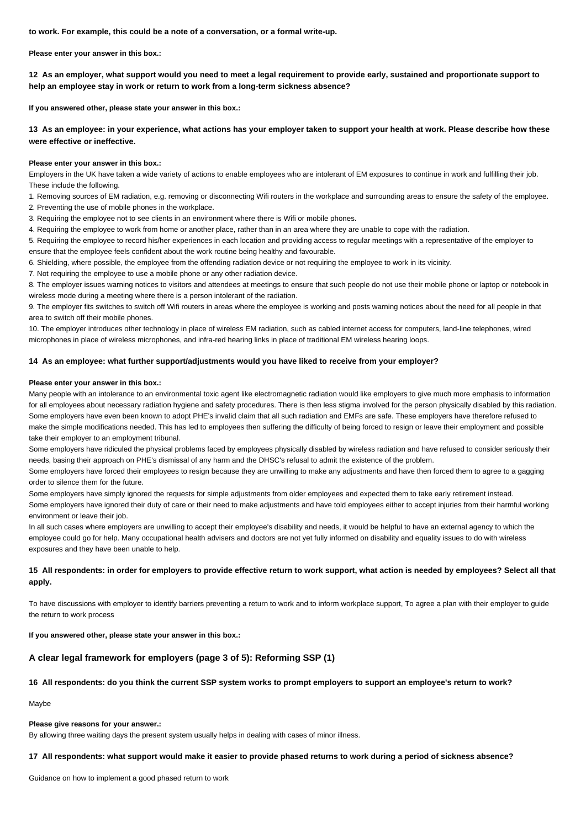**to work. For example, this could be a note of a conversation, or a formal write-up.**

**Please enter your answer in this box.:**

**12 As an employer, what support would you need to meet a legal requirement to provide early, sustained and proportionate support to help an employee stay in work or return to work from a long-term sickness absence?**

**If you answered other, please state your answer in this box.:**

**13 As an employee: in your experience, what actions has your employer taken to support your health at work. Please describe how these were effective or ineffective.**

### **Please enter your answer in this box.:**

Employers in the UK have taken a wide variety of actions to enable employees who are intolerant of EM exposures to continue in work and fulfilling their job. These include the following.

1. Removing sources of EM radiation, e.g. removing or disconnecting Wifi routers in the workplace and surrounding areas to ensure the safety of the employee. 2. Preventing the use of mobile phones in the workplace.

3. Requiring the employee not to see clients in an environment where there is Wifi or mobile phones.

4. Requiring the employee to work from home or another place, rather than in an area where they are unable to cope with the radiation.

5. Requiring the employee to record his/her experiences in each location and providing access to regular meetings with a representative of the employer to ensure that the employee feels confident about the work routine being healthy and favourable.

6. Shielding, where possible, the employee from the offending radiation device or not requiring the employee to work in its vicinity.

7. Not requiring the employee to use a mobile phone or any other radiation device.

8. The employer issues warning notices to visitors and attendees at meetings to ensure that such people do not use their mobile phone or laptop or notebook in wireless mode during a meeting where there is a person intolerant of the radiation.

9. The employer fits switches to switch off Wifi routers in areas where the employee is working and posts warning notices about the need for all people in that area to switch off their mobile phones.

10. The employer introduces other technology in place of wireless EM radiation, such as cabled internet access for computers, land-line telephones, wired microphones in place of wireless microphones, and infra-red hearing links in place of traditional EM wireless hearing loops.

### **14 As an employee: what further support/adjustments would you have liked to receive from your employer?**

#### **Please enter your answer in this box.:**

Many people with an intolerance to an environmental toxic agent like electromagnetic radiation would like employers to give much more emphasis to information for all employees about necessary radiation hygiene and safety procedures. There is then less stigma involved for the person physically disabled by this radiation. Some employers have even been known to adopt PHE's invalid claim that all such radiation and EMFs are safe. These employers have therefore refused to make the simple modifications needed. This has led to employees then suffering the difficulty of being forced to resign or leave their employment and possible take their employer to an employment tribunal.

Some employers have ridiculed the physical problems faced by employees physically disabled by wireless radiation and have refused to consider seriously their needs, basing their approach on PHE's dismissal of any harm and the DHSC's refusal to admit the existence of the problem.

Some employers have forced their employees to resign because they are unwilling to make any adjustments and have then forced them to agree to a gagging order to silence them for the future.

Some employers have simply ignored the requests for simple adjustments from older employees and expected them to take early retirement instead. Some employers have ignored their duty of care or their need to make adjustments and have told employees either to accept injuries from their harmful working environment or leave their job.

In all such cases where employers are unwilling to accept their employee's disability and needs, it would be helpful to have an external agency to which the employee could go for help. Many occupational health advisers and doctors are not yet fully informed on disability and equality issues to do with wireless exposures and they have been unable to help.

# **15 All respondents: in order for employers to provide effective return to work support, what action is needed by employees? Select all that apply.**

To have discussions with employer to identify barriers preventing a return to work and to inform workplace support, To agree a plan with their employer to guide the return to work process

**If you answered other, please state your answer in this box.:**

# **A clear legal framework for employers (page 3 of 5): Reforming SSP (1)**

## **16 All respondents: do you think the current SSP system works to prompt employers to support an employee's return to work?**

Maybe

#### **Please give reasons for your answer.:**

By allowing three waiting days the present system usually helps in dealing with cases of minor illness.

# **17 All respondents: what support would make it easier to provide phased returns to work during a period of sickness absence?**

Guidance on how to implement a good phased return to work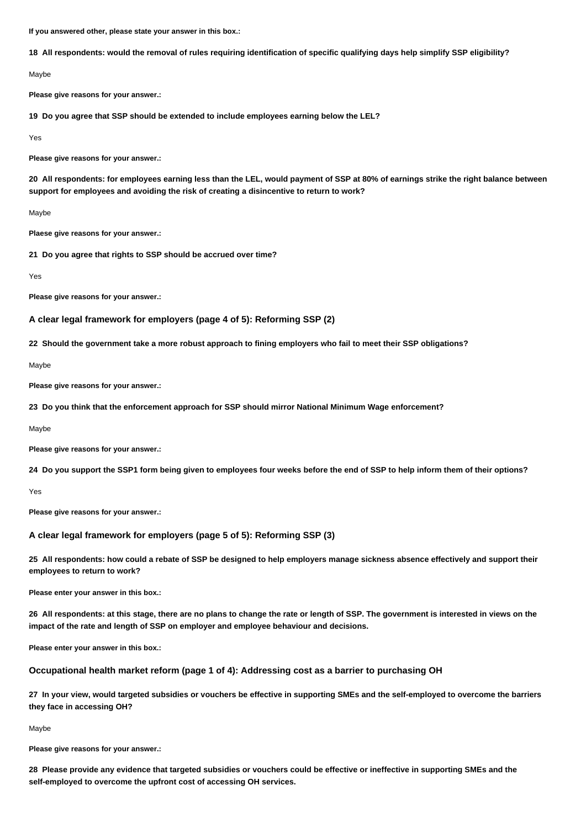**If you answered other, please state your answer in this box.:**

**18 All respondents: would the removal of rules requiring identification of specific qualifying days help simplify SSP eligibility?**

Maybe

**Please give reasons for your answer.:**

**19 Do you agree that SSP should be extended to include employees earning below the LEL?**

Yes

**Please give reasons for your answer.:**

**20 All respondents: for employees earning less than the LEL, would payment of SSP at 80% of earnings strike the right balance between support for employees and avoiding the risk of creating a disincentive to return to work?**

Maybe

**Plaese give reasons for your answer.:**

**21 Do you agree that rights to SSP should be accrued over time?**

Yes

**Please give reasons for your answer.:**

## **A clear legal framework for employers (page 4 of 5): Reforming SSP (2)**

**22 Should the government take a more robust approach to fining employers who fail to meet their SSP obligations?**

Maybe

**Please give reasons for your answer.:**

**23 Do you think that the enforcement approach for SSP should mirror National Minimum Wage enforcement?**

Maybe

**Please give reasons for your answer.:**

**24 Do you support the SSP1 form being given to employees four weeks before the end of SSP to help inform them of their options?**

Yes

**Please give reasons for your answer.:**

### **A clear legal framework for employers (page 5 of 5): Reforming SSP (3)**

**25 All respondents: how could a rebate of SSP be designed to help employers manage sickness absence effectively and support their employees to return to work?**

**Please enter your answer in this box.:**

**26 All respondents: at this stage, there are no plans to change the rate or length of SSP. The government is interested in views on the impact of the rate and length of SSP on employer and employee behaviour and decisions.**

**Please enter your answer in this box.:**

**Occupational health market reform (page 1 of 4): Addressing cost as a barrier to purchasing OH**

**27 In your view, would targeted subsidies or vouchers be effective in supporting SMEs and the self-employed to overcome the barriers they face in accessing OH?**

Maybe

**Please give reasons for your answer.:**

**28 Please provide any evidence that targeted subsidies or vouchers could be effective or ineffective in supporting SMEs and the self-employed to overcome the upfront cost of accessing OH services.**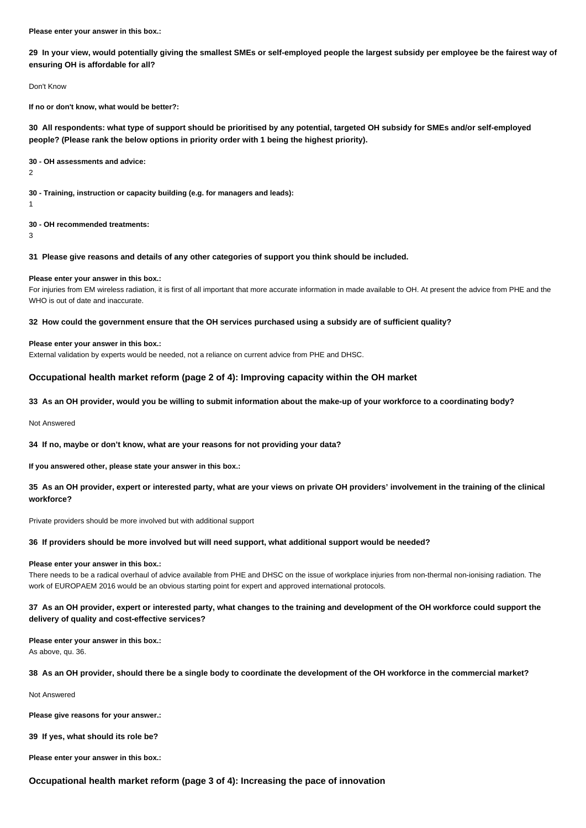**Please enter your answer in this box.:**

**29 In your view, would potentially giving the smallest SMEs or self-employed people the largest subsidy per employee be the fairest way of ensuring OH is affordable for all?**

Don't Know

**If no or don't know, what would be better?:**

**30 All respondents: what type of support should be prioritised by any potential, targeted OH subsidy for SMEs and/or self-employed people? (Please rank the below options in priority order with 1 being the highest priority).**

**30 - OH assessments and advice:**

2

**30 - Training, instruction or capacity building (e.g. for managers and leads):**

1

**30 - OH recommended treatments:**

3

**31 Please give reasons and details of any other categories of support you think should be included.**

#### **Please enter your answer in this box.:**

For injuries from EM wireless radiation, it is first of all important that more accurate information in made available to OH. At present the advice from PHE and the WHO is out of date and inaccurate.

#### **32 How could the government ensure that the OH services purchased using a subsidy are of sufficient quality?**

#### **Please enter your answer in this box.:**

External validation by experts would be needed, not a reliance on current advice from PHE and DHSC.

### **Occupational health market reform (page 2 of 4): Improving capacity within the OH market**

**33 As an OH provider, would you be willing to submit information about the make-up of your workforce to a coordinating body?**

Not Answered

**34 If no, maybe or don't know, what are your reasons for not providing your data?**

**If you answered other, please state your answer in this box.:**

**35 As an OH provider, expert or interested party, what are your views on private OH providers' involvement in the training of the clinical workforce?**

Private providers should be more involved but with additional support

### **36 If providers should be more involved but will need support, what additional support would be needed?**

#### **Please enter your answer in this box.:**

There needs to be a radical overhaul of advice available from PHE and DHSC on the issue of workplace injuries from non-thermal non-ionising radiation. The work of EUROPAEM 2016 would be an obvious starting point for expert and approved international protocols.

# **37 As an OH provider, expert or interested party, what changes to the training and development of the OH workforce could support the delivery of quality and cost-effective services?**

**Please enter your answer in this box.:**

As above, qu. 36.

**38 As an OH provider, should there be a single body to coordinate the development of the OH workforce in the commercial market?**

Not Answered

**Please give reasons for your answer.:**

**39 If yes, what should its role be?**

**Please enter your answer in this box.:**

### **Occupational health market reform (page 3 of 4): Increasing the pace of innovation**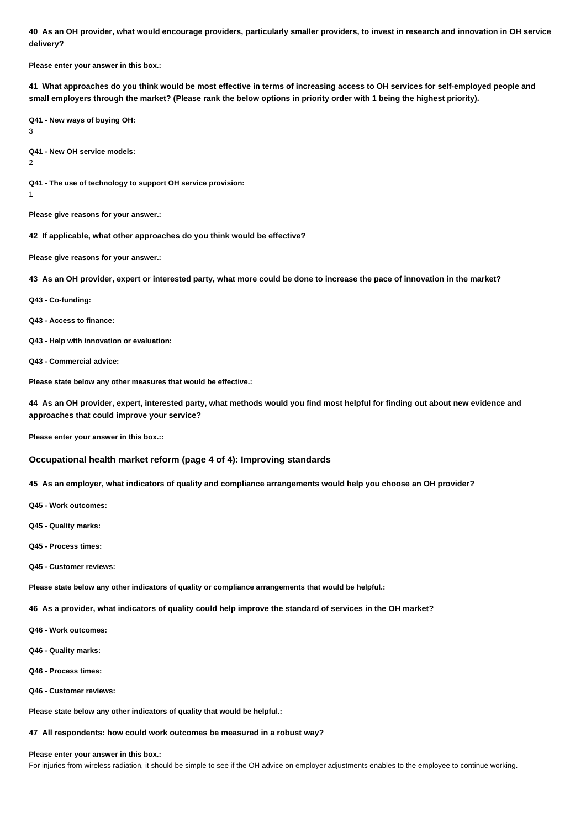**40 As an OH provider, what would encourage providers, particularly smaller providers, to invest in research and innovation in OH service delivery?**

**Please enter your answer in this box.:**

**41 What approaches do you think would be most effective in terms of increasing access to OH services for self-employed people and small employers through the market? (Please rank the below options in priority order with 1 being the highest priority).**

**Q41 - New ways of buying OH:** 3

**Q41 - New OH service models:** 2

**Q41 - The use of technology to support OH service provision:**

1

**Please give reasons for your answer.:**

**42 If applicable, what other approaches do you think would be effective?**

**Please give reasons for your answer.:**

**43 As an OH provider, expert or interested party, what more could be done to increase the pace of innovation in the market?**

**Q43 - Co-funding:**

**Q43 - Access to finance:**

- **Q43 Help with innovation or evaluation:**
- **Q43 Commercial advice:**

**Please state below any other measures that would be effective.:**

**44 As an OH provider, expert, interested party, what methods would you find most helpful for finding out about new evidence and approaches that could improve your service?**

**Please enter your answer in this box.::**

## **Occupational health market reform (page 4 of 4): Improving standards**

**45 As an employer, what indicators of quality and compliance arrangements would help you choose an OH provider?**

- **Q45 Work outcomes:**
- **Q45 Quality marks:**
- **Q45 Process times:**
- **Q45 Customer reviews:**

**Please state below any other indicators of quality or compliance arrangements that would be helpful.:**

**46 As a provider, what indicators of quality could help improve the standard of services in the OH market?**

- **Q46 Work outcomes:**
- **Q46 Quality marks:**
- **Q46 Process times:**
- **Q46 Customer reviews:**

**Please state below any other indicators of quality that would be helpful.:**

**47 All respondents: how could work outcomes be measured in a robust way?**

**Please enter your answer in this box.:**

For injuries from wireless radiation, it should be simple to see if the OH advice on employer adjustments enables to the employee to continue working.